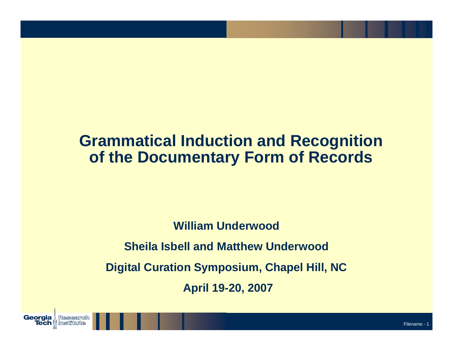#### **Grammatical Induction and Recognition of the Documentary Form of Records**

**William UnderwoodSheila Isbell and Matthew UnderwoodDigital Curation Symposium, Chapel Hill, NC April 19-20, 2007**

**Georgia** 

**Tech N** 

Research

Institute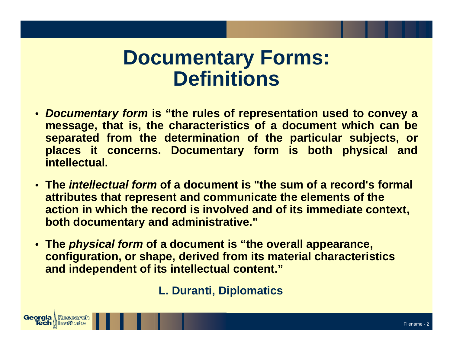# **Documentary Forms: Definitions**

- *Documentary form* **is "the rules of representation used to convey a message, that is, the characteristics of a document which can be separ ated from the determination of the particular subjects, or places it concerns. Documentary form is both physical and intellectual.**
- **The** *intellectual form* **of a docu ment is "the sum of a record's formal attributes that represent and communicate the elements of the action in which the record is i nvolved and of its immediate context, both documentary and administrative."**
- **The** *physical form* **of a docu ment is "the overall appearance, configuration, or shape, derived from its material characteristics and independent of its intellectual content."**

**L. Dur anti, Diplomatics**

**Georgia** Research **Tech** || Institute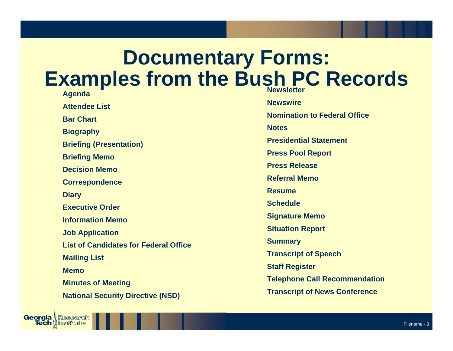# **Documentary Forms: Examples from the Bush PC Records**

**Agenda Attendee ListBar ChartBiography Briefing (Presentation) Briefing Memo Decision MemoCorrespondence Diary Executive OrderInformation MemoJob Application List of Candidates for Federal OfficeMailing List MemoMinutes of Meeting National Security Directive (NSD)**

Research

**Tech || Institute** 

Georgia I

**NewswireNomination to Federal OfficeNotesPresidential StatementPress Pool Report Press ReleaseReferral MemoResumeScheduleSignature Memo Situation Report Summary Transcript of Speech Staff Register Telephone Call Recom m endation Transcript of Ne ws Conference**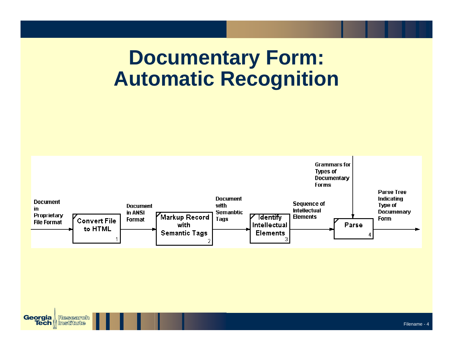# **Documentary Form: Automatic Recognition**



**Georgia** Research **Tech || Institute**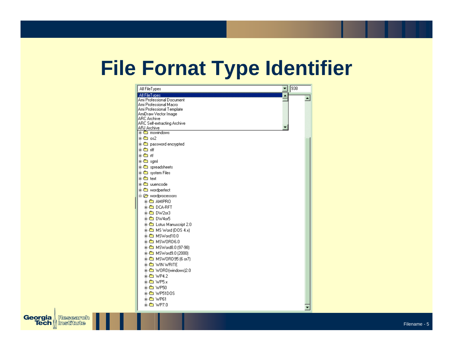# **File Fornat Type Identifier**

| All FileTypes                              | 938 |
|--------------------------------------------|-----|
| All FileT vpes                             |     |
| Ami Professional Document                  |     |
| Ami Professional Macro                     |     |
| Ami Professional Template                  |     |
| AmiDraw Vector Image<br><b>ARC Archive</b> |     |
| ARC Self-extracting Archive                |     |
| ARJ Archive                                |     |
| 由 mswindows                                |     |
| க்- <b>ி</b> ை os2                         |     |
| <b>‡⊢ ஊ</b> password encrypted             |     |
| iin ■-亩                                    |     |
| க் <del>த</del> ிையு                       |     |
| ni⊶®⊟ saml                                 |     |
|                                            |     |
| <b>‡</b> © spreadsheets                    |     |
| <b>க்-©</b> system Files                   |     |
| க்-®⊒text                                  |     |
| <b>E</b> uuencode                          |     |
| <b>ie-© wordperfect</b>                    |     |
| 白 @ wordprocessors                         |     |
| <b>ii-©a AMIPRO</b>                        |     |
| 由- 色 DCA-RFT                               |     |
|                                            |     |
| 由图 DW4or5                                  |     |
| <b>‡ ு</b> Lotus Manuscript 2.0            |     |
| 由-B MS Word (DDS 4.x)                      |     |
|                                            |     |
| ± <del>m</del> MSWord10.0                  |     |
| 由 图 MSWORD6.0                              |     |
| 由-6 MSWord8.0 (97-98)                      |     |
| 由-6 MSWord9.0 (2000)                       |     |
| <b>in 6 MSWORD95 (6 or7)</b>               |     |
| ⊕ ® WIN WRITE                              |     |
| 由-B WORD(windows)2.0                       |     |
| 由- 6 WP4.2                                 |     |
| $\pm$ $\bullet$ WP5.x                      |     |
|                                            |     |
|                                            |     |
| <b>i⊪® WP51DOS</b>                         |     |
| 由-■ WP61                                   |     |
| $\mathbf{m}$ WP7.0                         |     |

**Georgia** Research Research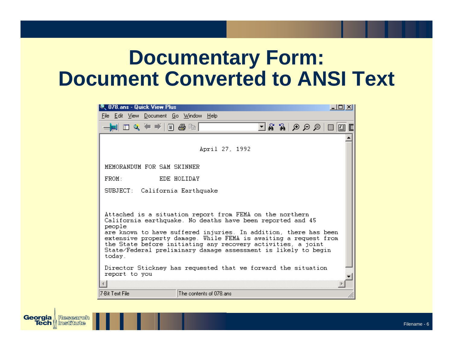# **Documentary Form: Document Converted to ANSI Text**

| <b>Q</b> 078.ans - Quick View Plus                                                                                                                                                                                                                                                                                                                                                                                   |                         |                |  |                    |  | - 미지 |
|----------------------------------------------------------------------------------------------------------------------------------------------------------------------------------------------------------------------------------------------------------------------------------------------------------------------------------------------------------------------------------------------------------------------|-------------------------|----------------|--|--------------------|--|------|
| File Edit View Document Go Window Help                                                                                                                                                                                                                                                                                                                                                                               |                         |                |  |                    |  |      |
| $\rightarrow$ $\blacksquare$ $\blacksquare$ $\blacksquare$ $\ll$ $\blacktriangleright$ $\blacksquare$ $\blacksquare$ $\blacksquare$ $\blacksquare$                                                                                                                                                                                                                                                                   |                         |                |  | 그용 잃 ⊙ ⊙ ⊝  ⊟  ③ ፪ |  |      |
|                                                                                                                                                                                                                                                                                                                                                                                                                      |                         |                |  |                    |  |      |
|                                                                                                                                                                                                                                                                                                                                                                                                                      |                         | April 27, 1992 |  |                    |  |      |
| MEMORANDUM FOR SAM SKINNER                                                                                                                                                                                                                                                                                                                                                                                           |                         |                |  |                    |  |      |
| EDE HOLIDAY<br>FROM:                                                                                                                                                                                                                                                                                                                                                                                                 |                         |                |  |                    |  |      |
| SUBJECT: California Earthquake                                                                                                                                                                                                                                                                                                                                                                                       |                         |                |  |                    |  |      |
| Attached is a situation report from FEMA on the northern<br>California earthquake. No deaths have been reported and 45<br>people<br>are known to have suffered injuries. In addition, there has been<br>extensive property damage. While FEMA is awaiting a request from<br>the State before initiating any recovery activities, a joint<br>State/Federal preliminary damage assessment is likely to begin<br>today. |                         |                |  |                    |  |      |
| Director Stickney has requested that we forward the situation<br>report to you                                                                                                                                                                                                                                                                                                                                       |                         |                |  |                    |  |      |
|                                                                                                                                                                                                                                                                                                                                                                                                                      |                         |                |  |                    |  |      |
| 7-Bit Text File                                                                                                                                                                                                                                                                                                                                                                                                      | The contents of 078.ans |                |  |                    |  |      |
|                                                                                                                                                                                                                                                                                                                                                                                                                      |                         |                |  |                    |  |      |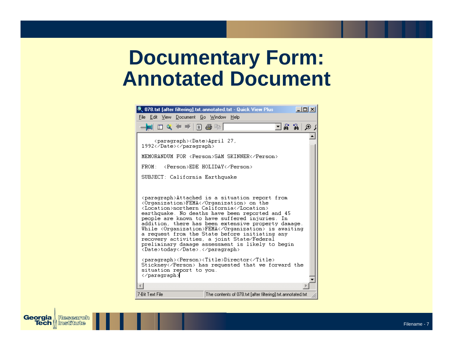# **Documentary Form: Annotated Document**

| @ 078.txt [after filtering].txt.annotated.txt - Quick View Plus<br>$ \Box$ $\times$ $\Box$                                                                                                                                                                                                                                                                                                                                                                                                                                                                                                                                    |
|-------------------------------------------------------------------------------------------------------------------------------------------------------------------------------------------------------------------------------------------------------------------------------------------------------------------------------------------------------------------------------------------------------------------------------------------------------------------------------------------------------------------------------------------------------------------------------------------------------------------------------|
| File Edit View Document Go Window Help                                                                                                                                                                                                                                                                                                                                                                                                                                                                                                                                                                                        |
| ▄▅▏□▝▖▝▘▀▏▊▗§▝▖▏<br>ମେଖି ଛୋଠ                                                                                                                                                                                                                                                                                                                                                                                                                                                                                                                                                                                                  |
| <paragraph><date>April 27,<br/>1992</date></paragraph>                                                                                                                                                                                                                                                                                                                                                                                                                                                                                                                                                                        |
| MEMORANDUM FOR <person>SAM SKINNER</person>                                                                                                                                                                                                                                                                                                                                                                                                                                                                                                                                                                                   |
| <b>FROM</b><br><person>EDE HOLIDAY</person>                                                                                                                                                                                                                                                                                                                                                                                                                                                                                                                                                                                   |
| SUBJECT: California Earthquake                                                                                                                                                                                                                                                                                                                                                                                                                                                                                                                                                                                                |
| <paragraph>Attached is a situation report from<br/><organization>FEMA</organization> on the<br/><location>northern California</location><br/>earthquake. No deaths have been reported and 45<br/>people are known to have suffered injuries. In<br/>addition, there has been extensive property damage.<br/>While <organization>FEMA</organization> is awaiting<br/>a request from the State before initiating any<br/>recovery activities, a joint State/Federal<br/>preliminary damage assessment is likely to begin<br/><date>todav</date>.</paragraph><br><paragraph><person><title>Director</title></person></paragraph> |
| Stickney has requested that we forward the<br>situation report to you.<br>                                                                                                                                                                                                                                                                                                                                                                                                                                                                                                                                                    |
|                                                                                                                                                                                                                                                                                                                                                                                                                                                                                                                                                                                                                               |
| 7-Bit Text File<br>The contents of 078.txt [after filtering], txt. annotated, txt                                                                                                                                                                                                                                                                                                                                                                                                                                                                                                                                             |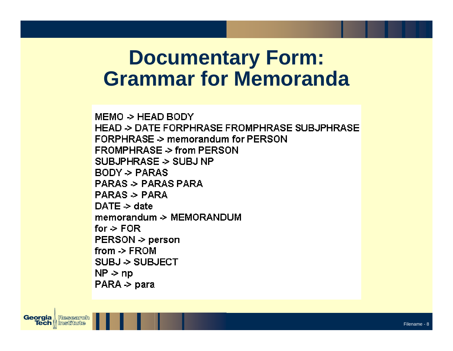### **Documentary Form: Grammar for Memoranda**

 $MEMO > HEAD BODY$ **HEAD > DATE FORPHRASE FROMPHRASE SUBJPHRASE** FORPHRASE > memorandum for PERSON  $FROMPHRASE \ge from PERSON$ SUBJPHRASE -> SUBJ NP  $BODY \geq PARAS$ **PARAS > PARAS PARA**  $PARAS > PARA$  $DATE \geq date$ memorandum -> MEMORANDUM for  $\ge$  FOR  $PERSON \rightarrow person$ from  $\ge$  FROM SUBJ -> SUBJECT  $NP \ge np$  $PARA \geq para$ 

**Georgia** Research **Tech** || Institute

Filename - 8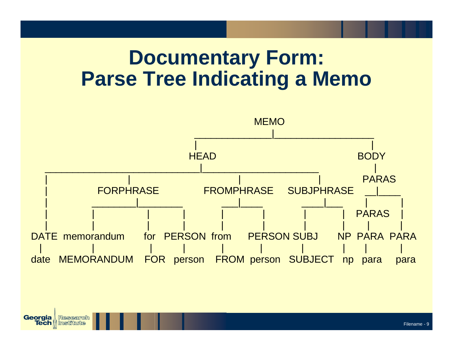# **Documentary Form: Parse Tree Indicating a Memo**

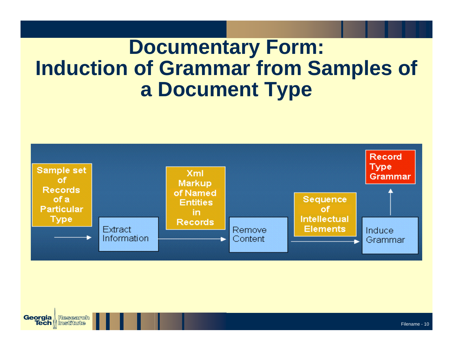# **Documentary Form: Induction of Grammar from Samples of a Document Type**



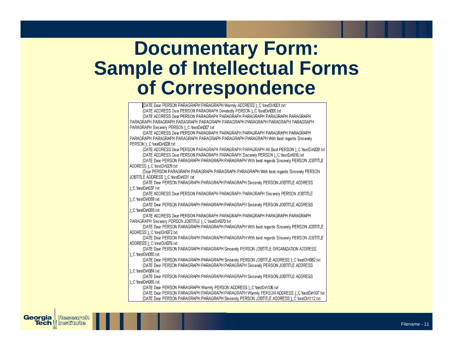#### **Documentary Form: Sample of Intellectual Forms of Correspondence**

| [DATE Dear PERSON PARAGRAPH PARAGRAPH Warmly ADDRESS );;C:\testDir\001.txt                     |
|------------------------------------------------------------------------------------------------|
| (DATE ADDRESS Dear PERSON PARAGRAPH Devotedly PERSON );;C:\testDir\005.txt                     |
| (DATE ADDRESS Dear PERSON PARAGRAPH PARAGRAPH PARAGRAPH PARAGRAPH PARAGRAPH                    |
| PARAGRAPH PARAGRAPH PARAGRAPH PARAGRAPH PARAGRAPH PARAGRAPH PARAGRAPH PARAGRAPH                |
| PARAGRAPH Sincerely PERSON );;C:\testDir\007.txt                                               |
| (DATE ADDRESS Dear PERSON PARAGRAPH PARAGRAPH PARAGRAPH PARAGRAPH PARAGRAPH                    |
| PARAGRAPH PARAGRAPH PARAGRAPH PARAGRAPH PARAGRAPH PARAGRAPH With best regards Sincerely        |
| PERSON ):: C: \testDir\008.txt                                                                 |
| (DATE ADDRESS Dear PERSON PARAGRAPH PARAGRAPH PARAGRAPH All Best PERSON );; C:\testDirQD9.txt  |
| (DATE ADDRESS Dear PERSON PARAGRAPH PARAGRAPH Sincerely PERSON );;C:\testDir\016.txt           |
| (DATE Dear PERSON PARAGRAPH PARAGRAPH PARAGRAPH With best regards Sincerely PERSON JOBTITLE    |
| ADDRESS ):: C: \testDir\029.txt                                                                |
| (Dear PERSON PARAGRAPH PARAGRAPH PARAGRAPH PARAGRAPH With best regards Sincerely PERSON        |
| JOBTITLE ADDRESS );;C:\testDir\031.txt                                                         |
| (DATE Dear PERSON PARAGRAPH PARAGRAPH PARAGRAPH Sincerely PERSON JOBTITLE ADDRESS              |
| )::C:\testDir\037.txt                                                                          |
| (DATE ADDRESS Dear PERSON PARAGRAPH PARAGRAPH PARAGRAPH Sincerely PERSON JOBTITLE              |
| t::C:\testDir\059.txt                                                                          |
| (DATE Dear PERSON PARAGRAPH PARAGRAPH PARAGRAPH Sincerely PERSON JOBTITLE ADDRESS              |
| )::C:\testDir\068.txt                                                                          |
| (DATE ADDRESS Dear PERSON PARAGRAPH PARAGRAPH PARAGRAPH PARAGRAPH PARAGRAPH                    |
| PARAGRAPH Sincerely PERSON JOBTITLE );;C:\testDir\070.txt                                      |
| (DATE Dear PERSON PARAGRAPH PARAGRAPH PARAGRAPH With best regards Sincerely PERSON JOBTITLE    |
| ADDRESS ):: C: \testDir\072.txt                                                                |
| (DATE Dear PERSON PARAGRAPH PARAGRAPH PARAGRAPH With best regards Sincerely PERSON JOBTITLE    |
| ADDRESS ):: C: \testDir\076.txt                                                                |
| (DATE Dear PERSON PARAGRAPH PARAGRAPH Sincerely PERSON JOBTITLE ORGANIZATION ADDRESS           |
| )::C:\testDir\080.txt                                                                          |
| (DATE Dear PERSON PARAGRAPH PARAGRAPH Sincerely PERSON JOBTITLE ADDRESS );; C:\testDir\082.txt |
| (DATE Dear PERSON PARAGRAPH PARAGRAPH PARAGRAPH Sincerely PERSON JOBTITLE ADDRESS              |
| )::C:\testDir\084.txt                                                                          |
| (DATE Dear PERSON PARAGRAPH PARAGRAPH PARAGRAPH Sincerely PERSON JOBTITLE ADDRESS              |
| );;C:\testDir\086.txt                                                                          |
| (DATE Dear PERSON PARAGRAPH Warmly PERSON ADDRESS ):: C:\testDir\106.txt                       |
| (DATE Dear PERSON PARAGRAPH PARAGRAPH PARAGRAPH Warmly PERSON ADDRESS );;C:\testDir\107.txt    |
| (DATE Dear PERSON PARAGRAPH PARAGRAPH Sincerely PERSON JOBTITLE ADDRESS );;C:\testDir\112.txt  |

Georgia

**Tech** 

Research

Institute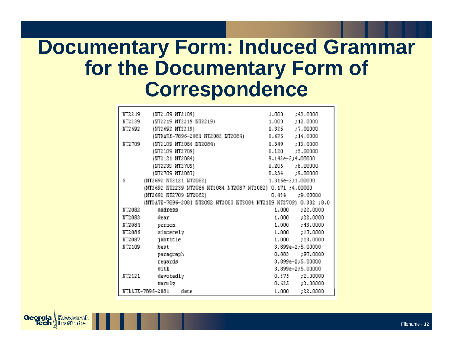# **Documentary Form: Induced Grammar for the Documentary Form of Correspondence**

| NT2219   | (NT2109 NT2109)                                                  | 1.000              | :43.0000            |
|----------|------------------------------------------------------------------|--------------------|---------------------|
| NT2239   | (NT2219 NT2219 NT2219)                                           | 1,000 :12,0000     |                     |
| NT2692   | (NT2692 NT2219)                                                  | 0.325              | :7.00000            |
|          | (NTDATE-7896-2081 NT2083 NT2084)                                 | $0.675$ ; 14,0003  |                     |
| NT2709   | (NT2109 NT20B6 NT2084)                                           |                    | $0.349$ :13,0000    |
|          | (NT2109 NT2709)                                                  |                    | $0.120$ $:5.00000$  |
|          | (NT2121 NT2084)                                                  | 9.143e-2;4.00000   |                     |
|          | (NT2239 NT2709)                                                  | $0.206$ $:8.00000$ |                     |
|          | (NT2709 NT2087)                                                  | $0.234$ $:9.00000$ |                     |
| S        | 1.316e-2;1.00000<br>(NT2692 NT2121 NT2082)                       |                    |                     |
|          | (NT2692 NT2239 NT2086 NT2084 NT2087 NT2082) 0.171 ;4.00000       |                    |                     |
|          | (NT2692 NT2709 NT2082)                                           |                    | $0.434 + 9.00000$   |
|          | (NTDATE-7896-2081 NT2082 NT2083 NT2084 NT2109 NT2709) 0.382 ;8.0 |                    |                     |
| NT2082   | address                                                          | 1.000              | :22.0000            |
| NT2083   | dear                                                             |                    | 1.000 :22.0000      |
| NT2084   | person                                                           |                    | 1.000 ;43.0000      |
| NT2086   | sincerely                                                        |                    | 1.000 ;17.0000      |
| NT2087   | jobtitle                                                         |                    | 1.000 :13.0000      |
| NT2109   | best                                                             |                    | 3.899e-2;5.00000    |
|          | paragraph                                                        |                    | $0.883 + 97.0000$   |
|          | regards                                                          |                    | 3.899e-2;5.00000    |
|          | uith                                                             |                    | 3.899e-2;5.00000    |
| NT2 12 1 | devotedly                                                        |                    | $0.375$ ; $2.00000$ |
|          | varmly                                                           |                    | $0.625$ $:3.00000$  |
|          | NTDATE-7896-2081 date                                            |                    | 1.000 : 22.0000     |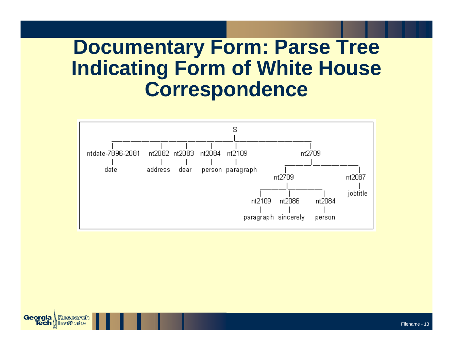# **Documentary Form: Parse Tree Indicating Form of White House Correspondence**



**Georgia** Research **Tech || Institute**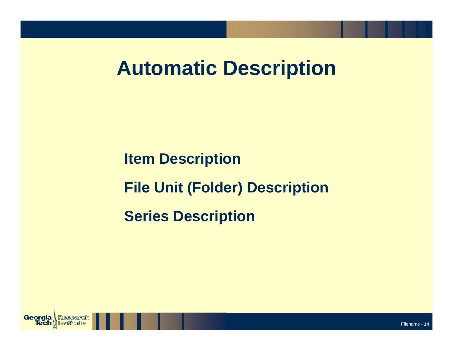# **Automatic Description**

**Item Description File Unit (Folder) Description Series Description**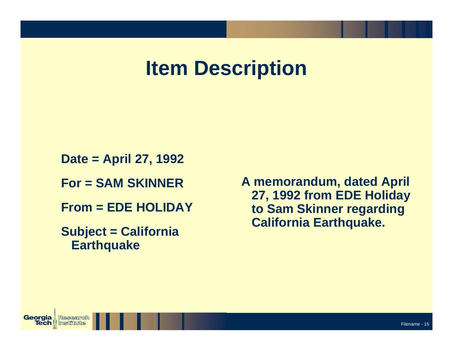# **Item Description**

**Date = April 27, 1992**

**For = SAM SKINNER**

**From = EDE HOLIDAY**

**Subject = California Earthquake**

**A memorandum, dated April 27, 1992 from EDE Holiday to Sam Skinner regarding California Earthquake.**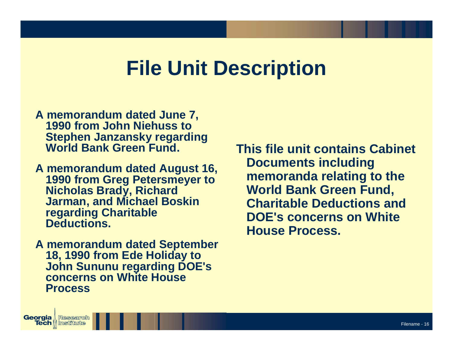# **File Unit Description**

- **A memorandum dated June 7, 1990 from John Niehuss to Stephen Janzansky regarding World Bank Green Fund.**
- **A memorandum dated August 16, 1990 from Greg Petersmeyer to Nicholas Brady, Richard Jarman, and Michael Boskin regarding Charitable Deductions.**
- **A memorandum dated September 18, 1990 from Ede Holiday to John Sununu regarding DOE's concerns on White House Process**

**Georgia** | Research **Tech** || Institute

**This file unit contains Cabinet Documents including me m oranda relating to the World Bank Green Fund, Charitable Deductions andDOE'sconcerns on White House Process.**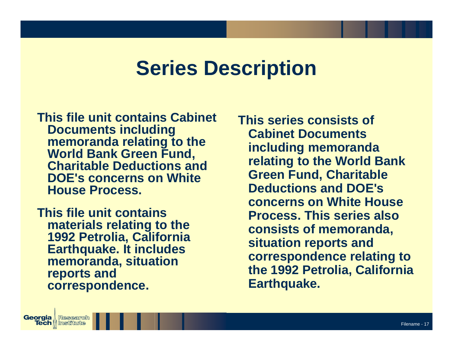### **Series Description**

**This file unit contains Cabinet Documents including me m oranda relating to the World Bank Green Fund, Charitable Deductions andDOE'sconcerns on White House Process.**

**This file unit contains materials relating to the 1992 Petrolia, California Earthquake. It includes me m oranda, situation reports and correspondence.** 

**Georgia** | Research **Tech || Institute** 

**This series consists of Cabinet Documents including me m oranda relating to the World Bank Green Fund, Charitable Deductions andDOE' sconcerns on White House Process. This series also consists of me m oranda, situation reports and correspondence relating to the 1992 Petrolia, California Earthquake.**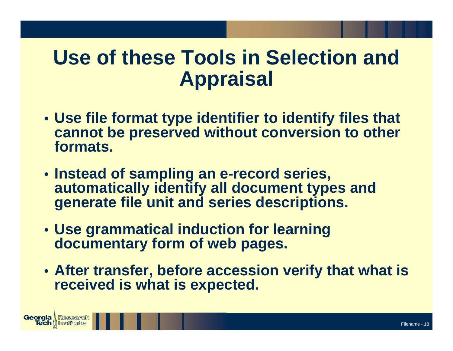# **Use of these Tools in Selection and Appraisal**

- **Use file format type identifier to identify files that cannot be preserved without conversion to other formats.**
- **Instead of sampling an e-record series, automatically identify all document types and generate file unit and series descriptions.**
- **Use grammatical induction for learning documentary form of web pages.**

**Georgia** | Research **Tech || Institut** 

• **After transfer, before accession verify that what is received is what is expected.**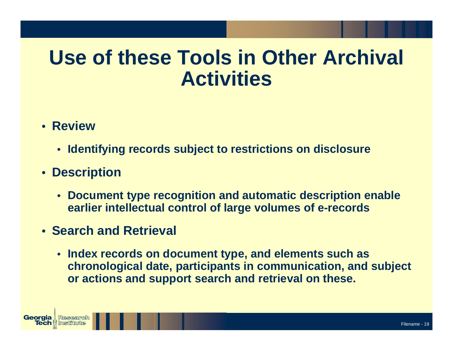# **Use of these Tools in Other Archival Activities**

- **Review**
	- **Identifying records subject to restrictions on disclosure**
- **Description**
	- • **Document type recognition and automatic description enable earlier intellectual control of large volumes of e-records**
- **Search and Retrieval**
	- **Index records on document type, and elements such as chronological date, participants in communication, and subject or actions and support search and retrieval on these.**